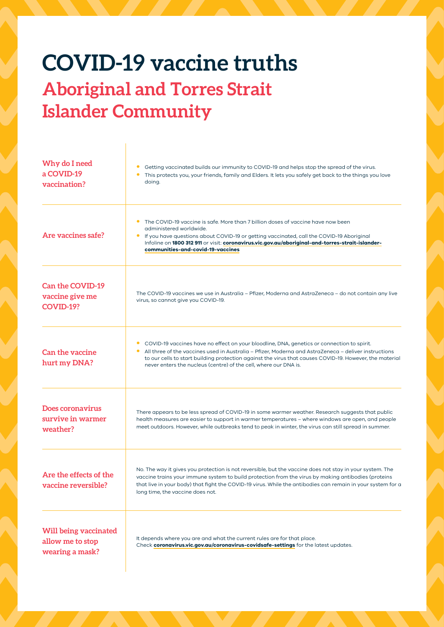## **COVID-19 vaccine truths Aboriginal and Torres Strait Islander Community**

| Why do I need<br>a COVID-19<br>vaccination?                         | Getting vaccinated builds our immunity to COVID-19 and helps stop the spread of the virus.<br>This protects you, your friends, family and Elders. It lets you safely get back to the things you love<br>doing.                                                                                                                                                                              |
|---------------------------------------------------------------------|---------------------------------------------------------------------------------------------------------------------------------------------------------------------------------------------------------------------------------------------------------------------------------------------------------------------------------------------------------------------------------------------|
| Are vaccines safe?                                                  | The COVID-19 vaccine is safe. More than 7 billion doses of vaccine have now been<br>$\bullet$<br>administered worldwide.<br>$\bullet$<br>If you have questions about COVID-19 or getting vaccinated, call the COVID-19 Aboriginal<br>Infoline on 1800 312 911 or visit: coronavirus.vic.gov.au/aboriginal-and-torres-strait-islander-<br>communities-and-covid-19-vaccines                  |
| <b>Can the COVID-19</b><br>vaccine give me<br><b>COVID-19?</b>      | The COVID-19 vaccines we use in Australia – Pfizer, Moderna and AstraZeneca – do not contain any live<br>virus, so cannot give you COVID-19.                                                                                                                                                                                                                                                |
| <b>Can the vaccine</b><br>hurt my DNA?                              | COVID-19 vaccines have no effect on your bloodline, DNA, genetics or connection to spirit.<br>٠<br>All three of the vaccines used in Australia – Pfizer, Moderna and AstraZeneca – deliver instructions<br>٠<br>to our cells to start building protection against the virus that causes COVID-19. However, the material<br>never enters the nucleus (centre) of the cell, where our DNA is. |
| Does coronavirus<br>survive in warmer<br>weather?                   | There appears to be less spread of COVID-19 in some warmer weather. Research suggests that public<br>health measures are easier to support in warmer temperatures – where windows are open, and people<br>meet outdoors. However, while outbreaks tend to peak in winter, the virus can still spread in summer.                                                                             |
| Are the effects of the<br>vaccine reversible?                       | No. The way it gives you protection is not reversible, but the vaccine does not stay in your system. The<br>vaccine trains your immune system to build protection from the virus by making antibodies (proteins<br>that live in your body) that fight the COVID-19 virus. While the antibodies can remain in your system for a<br>long time, the vaccine does not.                          |
| <b>Will being vaccinated</b><br>allow me to stop<br>wearing a mask? | It depends where you are and what the current rules are for that place.<br>Check coronavirus.vic.gov.au/coronavirus-covidsafe-settings for the latest updates.                                                                                                                                                                                                                              |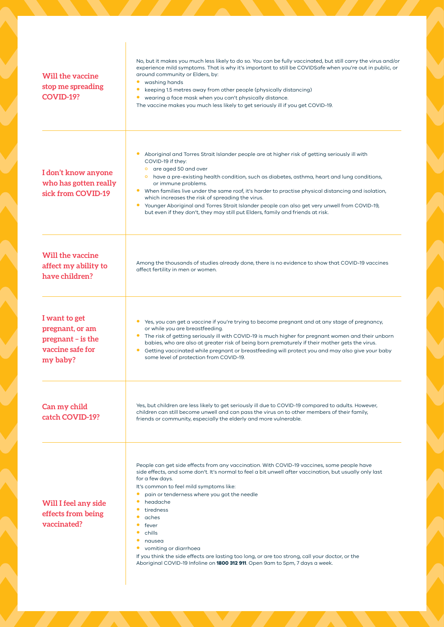| Will the vaccine<br>stop me spreading<br>COVID-19?                                      | No, but it makes you much less likely to do so. You can be fully vaccinated, but still carry the virus and/or<br>experience mild symptoms. That is why it's important to still be COVIDSafe when you're out in public, or<br>around community or Elders, by:<br>washing hands<br>$\bullet$<br>keeping 1.5 metres away from other people (physically distancing)<br>$\bullet$<br>wearing a face mask when you can't physically distance.<br>٠<br>The vaccine makes you much less likely to get seriously ill if you get COVID-19.                                                                                                                        |
|-----------------------------------------------------------------------------------------|---------------------------------------------------------------------------------------------------------------------------------------------------------------------------------------------------------------------------------------------------------------------------------------------------------------------------------------------------------------------------------------------------------------------------------------------------------------------------------------------------------------------------------------------------------------------------------------------------------------------------------------------------------|
| I don't know anyone<br>who has gotten really<br>sick from COVID-19                      | Aboriginal and Torres Strait Islander people are at higher risk of getting seriously ill with<br>COVID-19 if they:<br>o are aged 50 and over<br>o have a pre-existing health condition, such as diabetes, asthma, heart and lung conditions,<br>or immune problems.<br>When families live under the same roof, it's harder to practise physical distancing and isolation,<br>$\bullet$<br>which increases the risk of spreading the virus.<br>Younger Aboriginal and Torres Strait Islander people can also get very unwell from COVID-19,<br>$\bullet$<br>but even if they don't, they may still put Elders, family and friends at risk.               |
| Will the vaccine<br>affect my ability to<br>have children?                              | Among the thousands of studies already done, there is no evidence to show that COVID-19 vaccines<br>affect fertility in men or women.                                                                                                                                                                                                                                                                                                                                                                                                                                                                                                                   |
| I want to get<br>pregnant, or am<br>$pregnant - is the$<br>vaccine safe for<br>my baby? | Yes, you can get a vaccine if you're trying to become pregnant and at any stage of pregnancy,<br>٠<br>or while you are breastfeeding.<br>• The risk of getting seriously ill with COVID-19 is much higher for pregnant women and their unborn<br>babies, who are also at greater risk of being born prematurely if their mother gets the virus.<br>Getting vaccinated while pregnant or breastfeeding will protect you and may also give your baby<br>$\bullet$<br>some level of protection from COVID-19.                                                                                                                                              |
| Can my child<br>catch COVID-19?                                                         | Yes, but children are less likely to get seriously ill due to COVID-19 compared to adults. However,<br>children can still become unwell and can pass the virus on to other members of their family,<br>friends or community, especially the elderly and more vulnerable.                                                                                                                                                                                                                                                                                                                                                                                |
| Will I feel any side<br>effects from being<br>vaccinated?                               | People can get side effects from any vaccination. With COVID-19 vaccines, some people have<br>side effects, and some don't. It's normal to feel a bit unwell after vaccination, but usually only last<br>for a few days.<br>It's common to feel mild symptoms like:<br>pain or tenderness where you got the needle<br>$\bullet$<br>$\bullet$<br>headache<br>tiredness<br>aches<br>fever<br>chills<br>$\bullet$<br>۰<br>nausea<br>vomiting or diarrhoea<br>$\bullet$<br>If you think the side effects are lasting too long, or are too strong, call your doctor, or the<br>Aboriginal COVID-19 Infoline on 1800 312 911. Open 9am to 5pm, 7 days a week. |